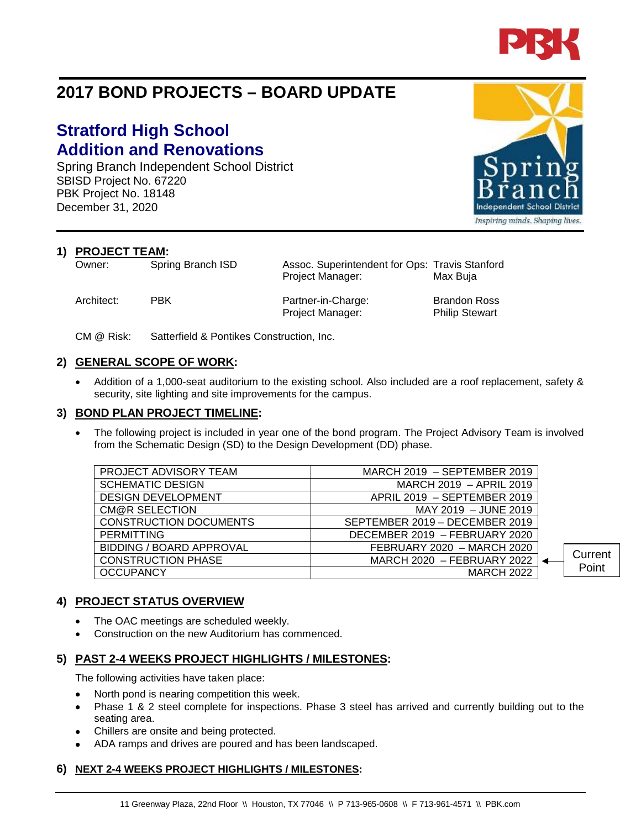

# **2017 BOND PROJECTS – BOARD UPDATE**

# **Stratford High School Addition and Renovations**

Spring Branch Independent School District SBISD Project No. 67220 PBK Project No. 18148 December 31, 2020

**1) PROJECT TEAM:**<br>Owner: Spring Branch ISD

Architect: PBK Partner-in-Charge: Brandon Ross

Project Manager: Philip Stewart

Assoc. Superintendent for Ops: Travis Stanford Project Manager: Max Buja

CM @ Risk: Satterfield & Pontikes Construction, Inc.

# **2) GENERAL SCOPE OF WORK:**

• Addition of a 1,000-seat auditorium to the existing school. Also included are a roof replacement, safety & security, site lighting and site improvements for the campus.

### **3) BOND PLAN PROJECT TIMELINE:**

The following project is included in year one of the bond program. The Project Advisory Team is involved from the Schematic Design (SD) to the Design Development (DD) phase.

| PROJECT ADVISORY TEAM           | MARCH 2019 - SEPTEMBER 2019    |         |
|---------------------------------|--------------------------------|---------|
| <b>SCHEMATIC DESIGN</b>         | MARCH 2019 - APRIL 2019        |         |
| <b>DESIGN DEVELOPMENT</b>       | APRIL 2019 - SEPTEMBER 2019    |         |
| CM@R SELECTION                  | MAY 2019 - JUNE 2019           |         |
| <b>CONSTRUCTION DOCUMENTS</b>   | SEPTEMBER 2019 - DECEMBER 2019 |         |
| <b>PERMITTING</b>               | DECEMBER 2019 - FEBRUARY 2020  |         |
| <b>BIDDING / BOARD APPROVAL</b> | FEBRUARY 2020 - MARCH 2020     |         |
| <b>CONSTRUCTION PHASE</b>       | MARCH 2020 - FEBRUARY 2022     | Current |
| <b>OCCUPANCY</b>                | <b>MARCH 2022</b>              | Point   |
|                                 |                                |         |

# **4) PROJECT STATUS OVERVIEW**

- The OAC meetings are scheduled weekly.
- Construction on the new Auditorium has commenced.

# **5) PAST 2-4 WEEKS PROJECT HIGHLIGHTS / MILESTONES:**

The following activities have taken place:

- North pond is nearing competition this week.
- Phase 1 & 2 steel complete for inspections. Phase 3 steel has arrived and currently building out to the seating area.
- Chillers are onsite and being protected.
- ADA ramps and drives are poured and has been landscaped.

# **6) NEXT 2-4 WEEKS PROJECT HIGHLIGHTS / MILESTONES:**



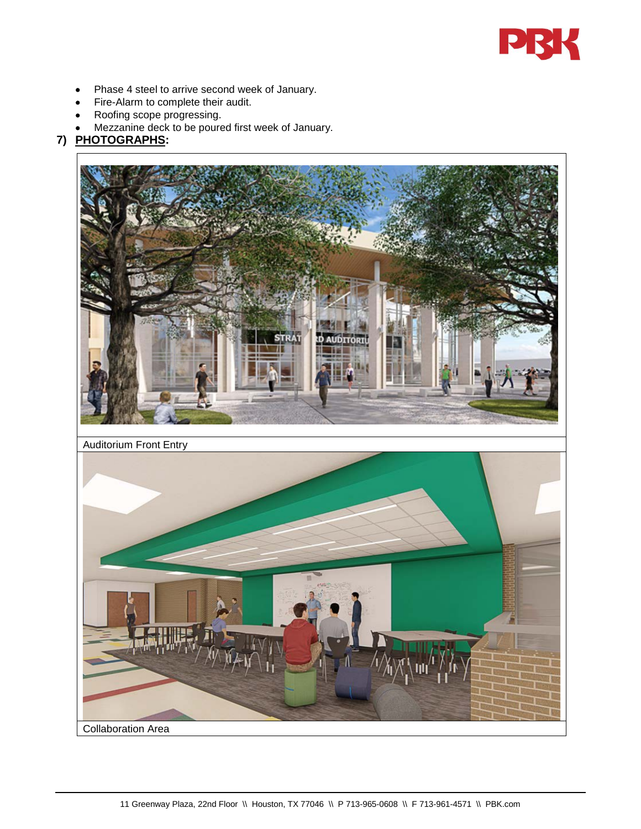

- Phase 4 steel to arrive second week of January.
- Fire-Alarm to complete their audit.
- Roofing scope progressing.
- Mezzanine deck to be poured first week of January.

# **7) PHOTOGRAPHS:**